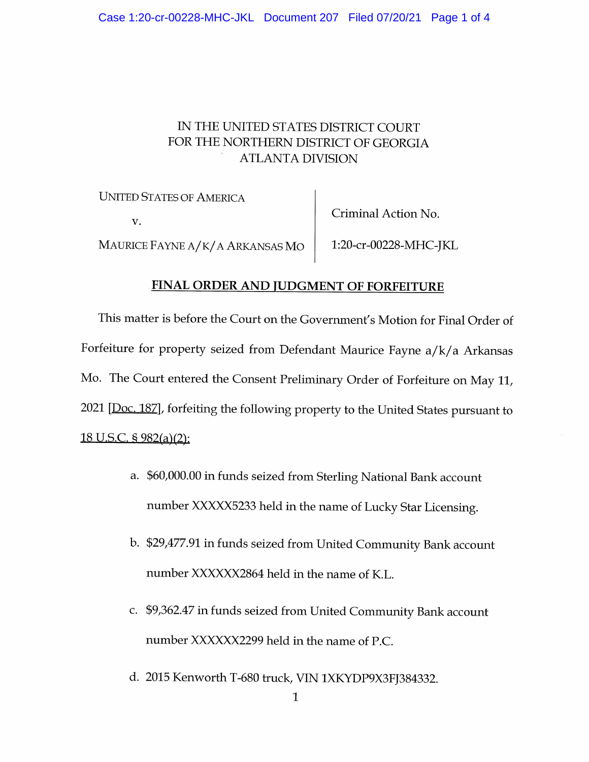## IN THE UNITED STATES DISTRICT COURT FOR THE NORTHERN DISTRICT OF GEORGIA ATLANTA DIVISION

UNITED STATES OF AMERICA Criminal Action No. V. MAURICE FAYNE A/K/A ARKANSAS MO | 1:20-cr-00228-MHC-JKL

## FINAL ORDER AND JUDGMENT OF FORFEITURE

This matter is before the Court on the Government's Motion for Final Order of Forfeiture for property seized from Defendant Maurice Fayne a/k/a Arkansas Mo. The Court entered the Consent Preliminary Order of Forfeiture on May 11, 2021 [Doc. 187], forfeiting the following property to the United States pursuant to 18 U.S.C. § 982(a)(2):

- a. \$60,000.00 in funds seized from Sterling National Bank account number XXXXX5233 held in the name of Lucky Star Licensing.
- b. \$29,477.91 in funds seized from United Community Bank account number XXXXXX2864 held in the name of K.L.
- c. \$9,362.47 in funds seized from United Community Bank account number XXXXXX2299 held in the name of P.C.
- d. 2015 Kenworth T-680 truck, VIN 1XKYDP9X3FJ384332.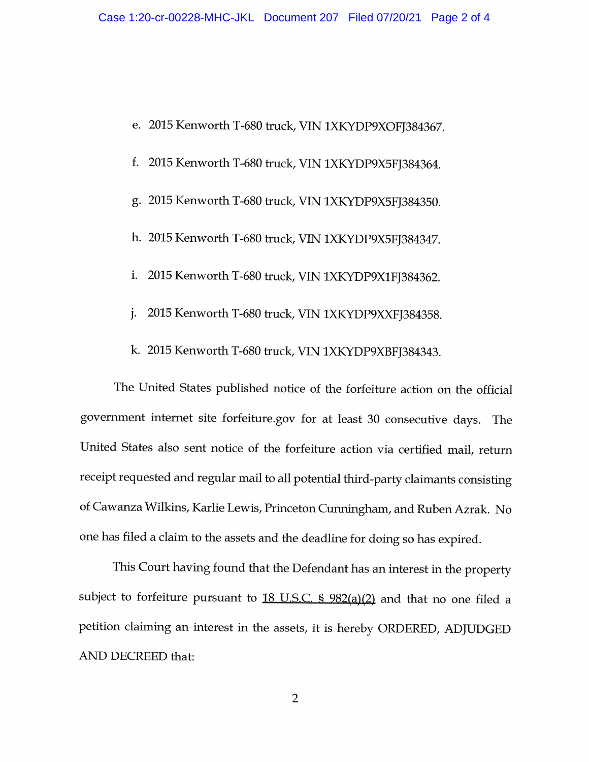- e. 2015 Kenworth T-680 truck, VIN 1XKYDP9XOFJ384367.
- f. 2015 Kenworth T-680 truck, VIN 1XKYDP9X5FJ384364.
- g. 2015 Kenworth T-680 truck, VIN 1XKYDP9X5FJ384350.
- h. 2015 Kenworth T-680 truck, VIN 1XKYDP9X5FJ384347.
- i. 2015 Kenworth T-680 truck, VIN 1XKYDP9X1FJ384362.
- j. 2015 Kenworth T-680 truck, VIN 1XKYDP9XXFJ384358.
- k. 2015 Kenworth T-680 truck, VIN 1XKYDP9XBFJ384343.

The United States published notice of the forfeiture action on the official government internet site forfeiture.gov for at least 30 consecutive days. The United States also sent notice of the forfeiture action via certified mail, return receipt requested and regular mail to all potential third-party claimants consisting of Cawanza Wilkins, Karlie Lewis, Princeton Cunningham, and Ruben Azrak. No one has filed a claim to the assets and the deadline for doing so has expired.

This Court having found that the Defendant has an interest in the property subject to forfeiture pursuant to  $18$  U.S.C.  $\frac{6}{5}$  982(a)(2) and that no one filed a petition claiming an interest in the assets, it is hereby ORDERED, ADJUDGED AND DECREED that: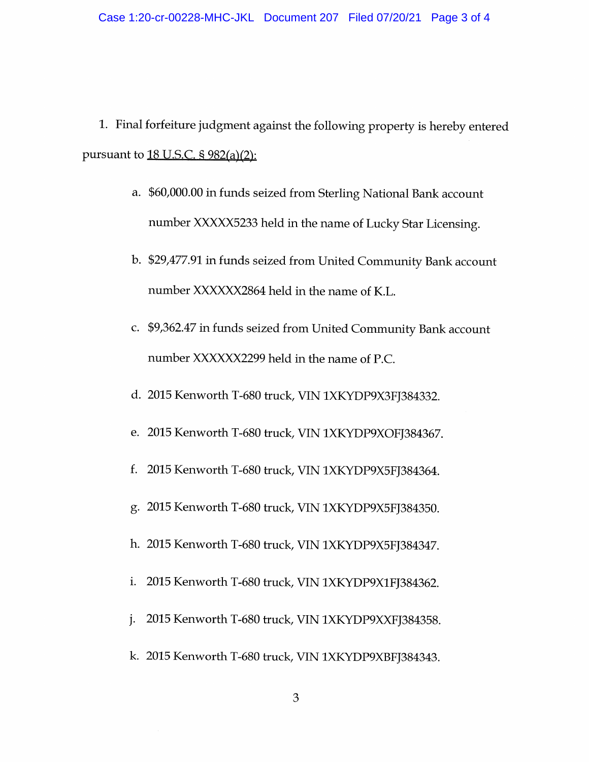1. Final forfeiture judgment against the following property is hereby entered pursuant to  $18$  U.S.C. § 982(a)(2):

- a. \$60,000.00 in funds seized from Sterling National Bank account number XXXXX5233 held in the name of Lucky Star Licensing.
- b. \$29,477.91 in funds seized from United Community Bank account number XXXXXX2864 held in the name of K.L.
- c. \$9,362.47 in funds seized from United Community Bank account number XXXXXX2299 held in the name of P.C
- d. 2015 Kenworth T-680 truck, VIN 1XKYDP9X3FJ384332.
- e. 2015 Kenworth T-680 truck, VIN 1XKYDP9XOFJ384367.
- f. 2015 Kenworth T-680 truck, VIN 1XKYDP9X5FJ384364.
- g. 2015 Kenworth T-680 truck, VIN 1XKYDP9X5FJ384350.
- h. 2015 Kenworth T-680 truck, VIN 1XKYDP9X5FJ384347.
- i. 2015 Kenworth T-680 truck, VIN 1XKYDP9X1FJ384362.
- j. 2015 Kenworth T-680 truck, VIN 1XKYDP9XXFJ384358.
- k. 2015 Kenworth T-680 truck, VIN 1XKYDP9XBFJ384343.